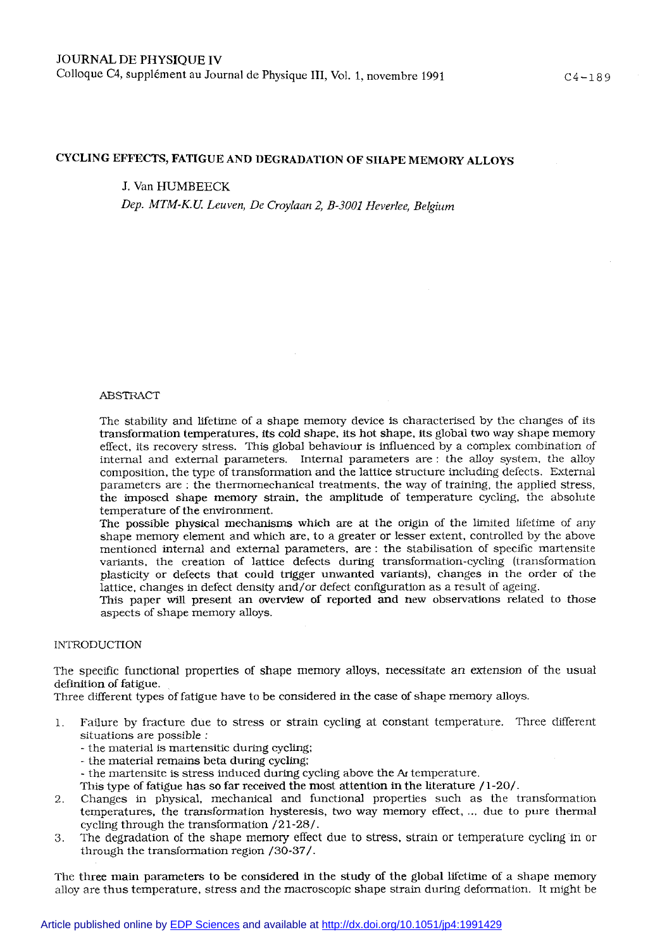# **CYCLING EFFECTS, FATIGUE AND DEGRADATION OF SHAPE MEMORY ALLOYS**

## J. Van HUMBEECK

Dep. MTM-K.U. Leuven, De Croylaan 2, B-3001 Heverlee, Belgium

#### **ABSTRACT**

The stability and lifetime of a shape memory device is characterised by the changes of its transformation temperatures, its cold shape, its hot shape, its global two way shape memory effect, its recovery stress. This global behaviour is influenced by a complex combination of internal and external parameters. Internal parameters are : the alloy system, the alloy composition, the type of transformation and the lattice structure including defects. External parameters are : the thermomechanical treatments, the way of training, the applied stress, the imposed shape memory strain, the amplitude of temperature cycling, the absolute temperature of the environment.

The possible physical mechanisms which are at the origin of the limited lifetime of any shape memory element and which are, to a greater or lesser extent, controlled by the above mentioned internal and external parameters, are : the stabilisation of specific martensite variants, the creation of lattice defects during transformation-cycling (transfornation plasticity or defects that could triger unwanted variants), changes in the order of the lattice. changes in defect density and/or defect configuration as a result of ageing.

This paper will present an overview of reported and new observations related to those aspects of shape memory alloys.

# **INTRODUCTION**

The specific functional properties of shape memory alloys, necessitate an extension of the usual definition of fatigue.

Three different types of fatigue have to be considered in the case of shape memory alloys.

- 1. Failure by fracture due to stress or strain cycling at constant temperature. Three different situations are possible :
	- the material is martensitic during cycling;
	- the material remains beta during cycling:
	- the martensite is stress induced during cycling above the *Ar* temperature.
	- This type of fatigue has so far received the most attention in the literature / 1-20/.
- 2. Changes in physical, mechanical and functional properties such as the transformation temperatures, the transformation hysteresis, two way memory effect, ... due to pure thermal cycling through the transformation /21-28/.
- 3. The degradation of the shape memory effect due to stress, strain or temperature cycling in or through the transformation region /30-37/.

The three main parameters to be considered in the study of the global lifetime of a shape memory alloy are thus temperature, stress and the macroscopic shape strain during deformation. It might be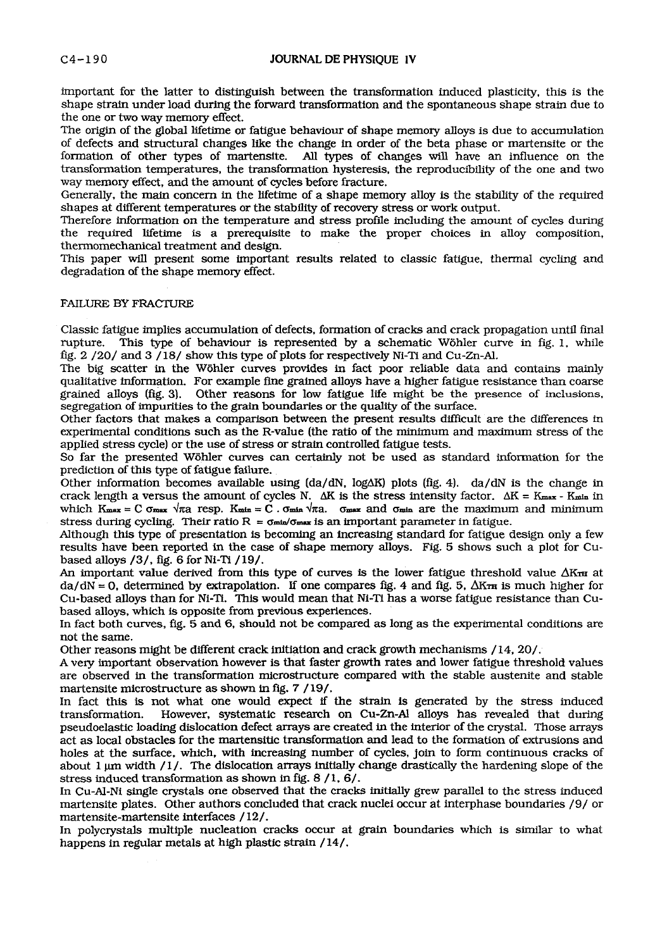important for the latter to distinguish between the transformation induced plasticity. this is the shape strain under load during the forward transformation and the spontaneous shape strain due to the one or two way memory effect.

The origin of the global lifetime or fatigue behaviour of shape memory alloys is due to accumulation of defects and structural changes like the change in order of the beta phase or martensite or the formation of other types of martensite. **All** types of changes will have an influence on the transformation temperatures, the transformation hysteresis, the reproducibility of the one and two way memory effect, and the amount of cycles before fracture.

Generally, the main concern in the lifetime of a shape memory alloy is the stability of the required shapes at different temperatures or the stability of recovery stress or work output.

Therefore information on the temperature and stress profile including the amount of cycles during the required lifetime is a prerequisite to make the proper choices in alloy composition, thermomechanical treatment and design.

This paper will present some important results related to classic fatigue, thermal cycling and degradation of the shape memory effect.

## FAILURE BY **FRACTURE**

Classic fatigue implies accumulation of defects, formation of cracks and crack propagation until final This type of behaviour is represented by a schematic Wöhler curve in fig. 1, while fig. 2 /20/ and **3** / 18/ show this type of plots for respectively Ni-Ti and Cu-Zn-Al.

The big scatter in the Wohler curves provides in fact poor reliable data and contains mainly qualitative information. For example flne grained alloys have a higher fatigue resistance than coarse grained alloys **(fy. 3).** Other reasons for low fatigue life might be **the presence of inclusions.**  segregation of impurities to the grain boundaries or the quality of the surface.

Other factors that makes a comparison between the present results difficult are the differences in experimental conditions such as the R-value (the ratio of the minimum and maximum stress of the applied stress cycle) or the use of stress or strain controlled fatigue tests.

So far the presented Wohler curves can certainly not be used as standard information for the prediction of this type of fatigue failure.

Other information becomes available using (da/dN, IogAK) plots (fig. 4). da/dN is the change in crack length a versus the amount of cycles N.  $\Delta K$  is the stress intensity factor.  $\Delta K = K_{\text{max}} - K_{\text{min}}$  in which  $K_{\text{max}} = C \sigma_{\text{max}} \sqrt{\pi a}$  resp.  $K_{\text{min}} = C \sigma_{\text{min}} \sqrt{\pi a}$ .  $\sigma_{\text{max}}$  and  $\sigma_{\text{min}}$  are the maximum and minimum stress during cycling. Their ratio  $R = \sigma_{min}/\sigma_{max}$  is an important parameter in fatigue.

Although this type of presentation is becoming an increasing standard for fatigue design only a few results have been reported in the case of shape memory alloys. Fig. 5 shows such a plot for Cubased alloys **/3/, fig.** 6 for Ni-73 /19/.

An important value derived from this type of curves is the lower fatigue threshold value  $\Delta K_{\text{TH}}$  at  $da/dN = 0$ , determined by extrapolation. If one compares fig. 4 and fig. 5,  $\Delta K_{\text{TH}}$  is much higher for Cu-based alloys than for Ni-Ti. This would mean that Ni-Ti has a worse fatigue resistance than Cubased alloys, which is opposite from previous experiences.

In fact both curves, fig. 5 and 6, should not be compared as long as the experimental conditions are not the same.

Other reasons might be different crack initiation and crack growth mechanisms / 14, 20/.

**A** very important observation however is that faster growth rates and lower fatigue threshold values are observed in the transformation microstructure compared with the stable austenite and stable martensite microstructure as shown in fig. 7 / **19/.** 

In fact this is not what one would expect if the strain is generated by the stress induced transformation. However, systematic research on Cu-Zn-Al alloys has revealed that during However, systematic research on Cu-Zn-Al alloys has revealed that during pseudoelastic loading dislocation defect arrays are created in the interior of the crystal. Those arrays act as local obstacles for the martensitic transformation and lead to the formation of extrusions and holes at the surface, which, **with** increasing number of cycles, join to form continuous cracks of about 1 **pm** width / l/. The dislocation arrays initially change drastically the hardening slope of the stress induced transformation as shown in fig. 8 / 1, 6/.

In Cu-Al-Ni single crystals one observed that the cracks initially grew parallel to the stress induced martensite plates. Other authors concluded that crack nuclei occur at interphase boundaries /9/ or martensite-martensite interfaces /12/.

In polycrystals multiple nucleation cracks occur at grain boundaries which is similar to what happens in regular metals at high plastic strain / 14/.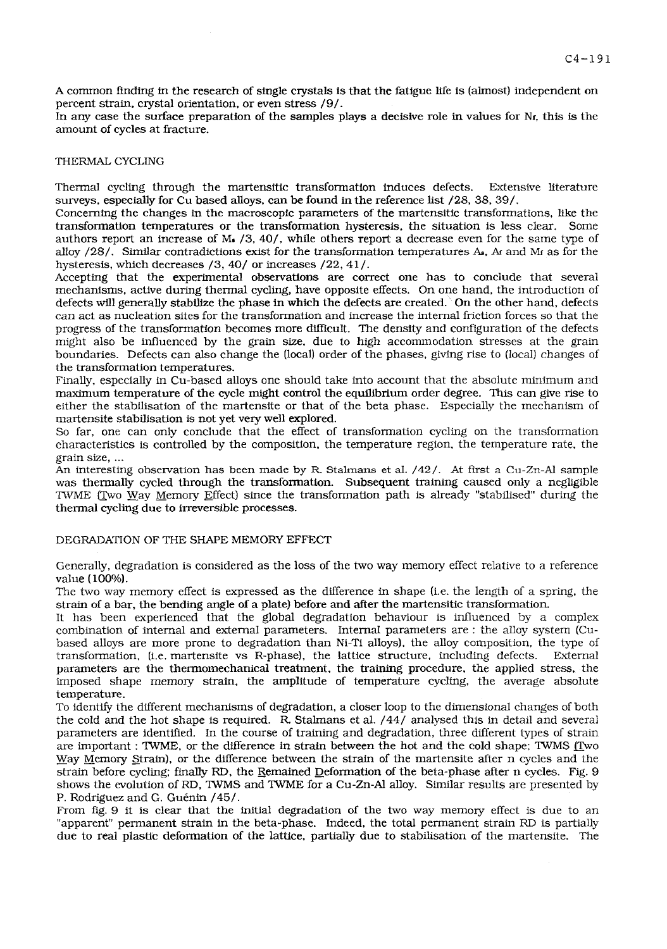**A** common finding in the research of single crystals is that the fatigue life is (almost) independent on percent strain, crystal orientation, or even stress /9/.

In any case the surface preparation of the samples plays a decisive role in values for **Nr,** this is the amount of cycles at fracture.

#### THERMAL CYCLING

Thermal cycling through the martensitic transformation induces defects. Extensive literature surveys. especially for Cu based alloys, can be found in the reference list /28,38.39/.

Concerning the changes in the macroscopic parameters of the martensitic transformations, like the transformation temperatures or the transformation hysteresis, the situation is less clear. Some authors report an increase of  $M_6$  /3, 40/, while others report a decrease even for the same type of alloy  $/28$ . Similar contradictions exist for the transformation temperatures A, A and M<sub>r</sub> as for the hysteresis, which decreases /3, 40/ or increases /22,41/.

Accepting that the experimental observations are correct one has to conclude that several mechanisms, active during thermal cycling, have opposite effects. On one hand, the introduction of defects will generally stabilize the phase in which the defects are created. On the other hand, defects can act as nucleation sites for the transformation and increase the internal friction forces so that the progress of the transformation becomes more difficult. The density and configuration of the defects might also be influenced by the grain size, due to high accommodation stresses at the grain boundaries. Defects can also change the (local) order of the phases, giving rise to (local) changes of the transformation temperatures.

Finally, especially in Cu-based alloys one should take into account that the absolute minimum and maximum temperature of the cycle might control the equilibrium order degree. This can give rise to either the stabilisation of the martensite or that of the beta phase. Especially the mechanism of martensite stabilisation is not yet very well explored.

So far, one can only conclude that the effect of transformation cycling on the transformation characteristics is controlled by the composition, the temperature region, the temperature rate, the

grain size, . .. An interesting observation has been made by R Stalmans **et al. /42/. At** first a **Cu-Zn-Al** sample was thermally cycled through the transformation. Subsequent training caused only a negligible TWME (Two Way Memory Effect) since the transformation path is already "stabilised" during the thermal cycling due to irreversible processes.

#### DEGRADATION OF THE SHAPE MEMORY EFFECT

Generally, degradation is considered as the loss of the two way memory effect relative to a reference value **(100%).** 

The two way memory effect is expressed as the difference in shape (i.e. the length of a spring, the strain of a bar, the bending angle of a plate) before and after the martensitic transformation.

It has been experienced that the global degradation behaviour is influenced by a complex combination of internal and external parameters. Internal parameters are : the alloy system (Cubased alloys are more prone to degradation than Ni-Ti alloys). the alloy composition, the type of transformation, (i.e. martensite vs R-phase), the lattice structure. including defects. External parameters are the thennomechanical treatment, the training procedure, the applied stress, the imposed shape memory strain, the amplitude of temperature cycling, the average absolute temperature.

To identify the different mechanisms of degradation, a closer loop to the dimensional changes of both the cold and the hot shape is required. R Stalmans et al. /44/ analysed this in detall and several parameters are identified. In the course of training and degradation, three different types of stram are important : TWME, or the difference in strain between the hot and the cold shape: TWMS *(I*Wo) Way Memory Strain), or the difference between the strain of the martensite after n cycles and the strain before cycling; finally RD, the Remained Deformation of the beta-phase after n cycles. Fig. 9 shows the evolution of RD, TWMS and TWME for a Cu-Zn-A1 alloy. Similar results are presented by P. Rodriguez and G. Guénin /45/.

From fig. 9 it is clear that the initial degradation of the two way memory effect is due to an "apparent" permanent strain in the beta-phase. Indeed, the total permanent strain RD is partially due to real plastic deformation of the lattice, partially due to stabilisation of the martensite. The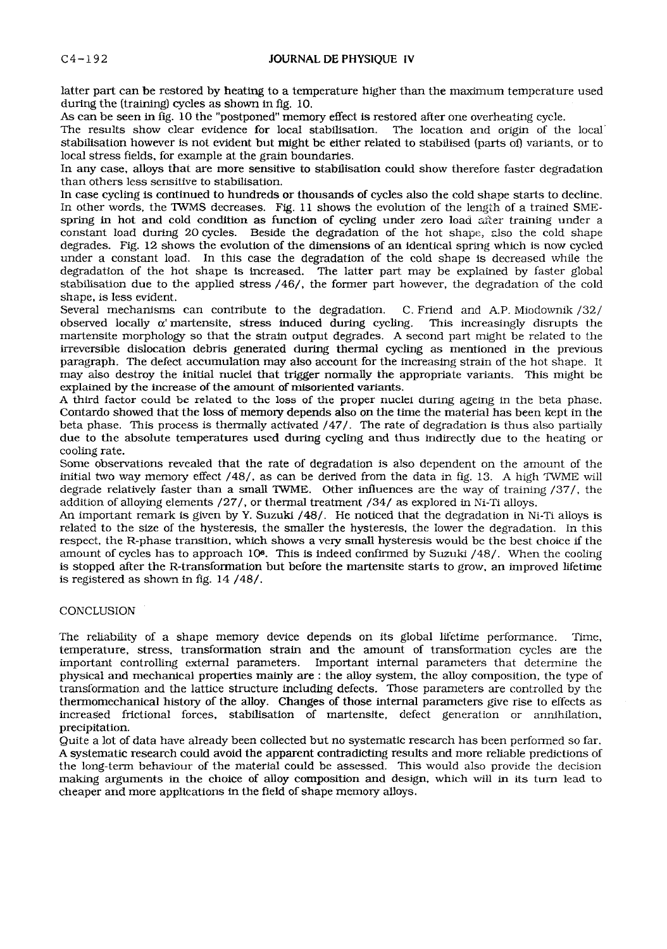latter part can be restored by heating to a temperature higher than the maximum temperature used during the (trainingl cycles as shown in fig. 10.

As can be seen in fig. 10 the "postponed" memory effect is restored after one overheating cycle.

The results show clear evidence for local stabilisation. The location and origin of the local stabilisation however is not evident but might be either related to stabilised (parts of) variants. or to local stress fields, for example at the grain boundaries.

In any case, alloys that are more sensitive to stabilisation could show therefore faster degradation than others less sensitive to stabilisation.

In case cycling is continued to hundreds or thousands of cycles also the cold shape starts to decline. In other words, the 'IWMS decreases. Fig. 11 shows the evolution of the length of a trained SMEspring in hot and cold condition as function of cycling under zero load after training under a constant load during 20 cycles. Beside the degradation of the hot shape, also the cold shape degrades. Fig. 12 shows the evolution of the dimensions of an identical spring which is now cycled under a constant load. In this case the degradation of the cold shape is decreased while the degradation of the hot shape is increased. The latter part may be explained by faster global stabilisation due to the applied stress /46/, the former part however, the degradation of the cold shape, is less evident.

Several mechanisms can contribute to the degradation. C. Friend and A.P. Miodownik  $/32$ / observed locally  $\alpha$  martensite, stress induced during cycling. This increasingly disrupts the observed locally  $\alpha$ 'martensite, stress induced during cycling. martensite morphology so that the strain output degrades. **A** second part might be related to the irreversible dislocation debris generated during thermal cycling as mentioned in the previous paragraph. The defect accumulation may also account for the increasing strain of the hot shape. It may also destroy the initial nuclei that trigger normally the appropriate variants. This might be explained by the increase of the amount of misoriented variants.

**A** third factor could be related to the loss of the proper nuclei during ageing in the beta phase. Contardo showed that the loss of memory depends also on the time the material has been kept in the beta phase. This process is thermally activated /47/. The rate of degradation is thus also partially due to the absolute temperatures used during cycling and thus indirectly due to the heating or cooling rate.

Some observations revealed that the rate of degradation is also dependent on the amount of the initial two way memory effect  $/48/$ , as can be derived from the data in fig. 13. A high TWME will degrade relatively faster than a small TWME. Other influences are the way of training /37/, the addition of alloying elements /27/, or thermal treatment **/34/** as explored in Ni-Ti alloys.

An important remark is given by Y. Suzuki /48/. He noticed that the degradation in Ni-Ti alloys is related to the size of the hysteresis, the smaller the hysteresis. the lower the degradation. In this respect, the R-phase transition, which shows a very small hysteresis would be the best choice if the amount of cycles has to approach  $10<sup>6</sup>$ . This is indeed confirmed by Suzuki  $/48/$ . When the cooling is stopped after the R-transformation but before the martensite starts to grow, an improved lifetime is registered as shown in fig. 14 /48/.

## **CONCLUSION**

The reliability of a shape memory device depends on its global lifetime performance. Time, temperature, stress, transformation strain and the amount of transformation cycles are the important controlling external parameters. Important internal parameters that determine the physical and mechanical properties mainly are : the alloy system, the alloy composition, the type of transformation and the lattice structure including defects. Those parameters are controlled by the thermomechanical history of the alloy. Changes of those internal parameters give rise to effects as increased frictional forces, stabilisation of martensite, defect generation or annihilation, precipitation.

Quite a lot of data have already been collected but no systematic research has been performed so far. **A** systematic research could avoid the apparent contradicting results and more reliable predictions of the long-term behaviour of the material could be assessed. This would also provide the decislon making arguments in the choice of alloy composition and design. which will in its turn lead to cheaper and more applications in the field of shape memory alloys.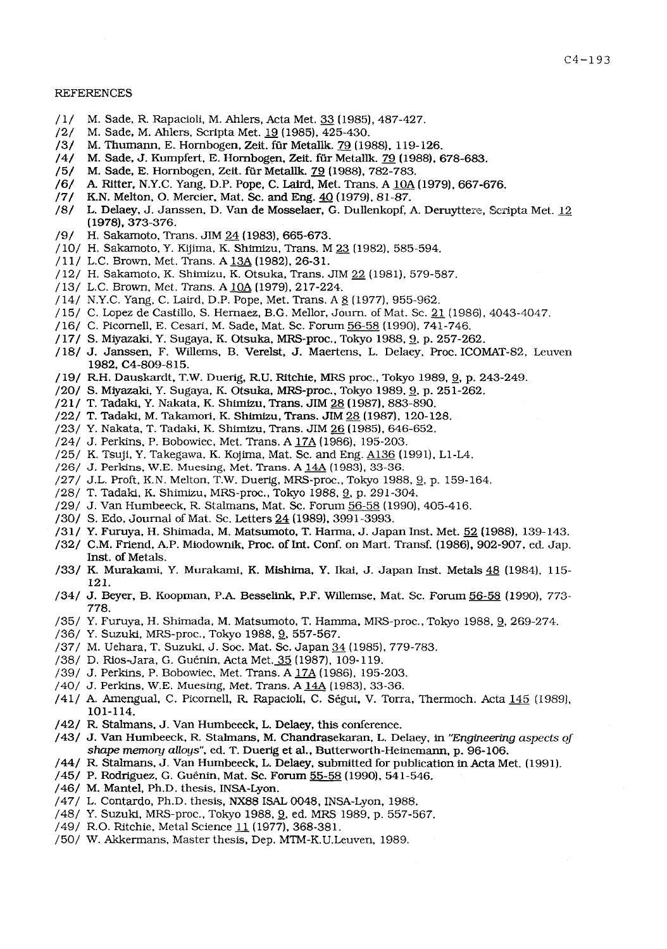#### REFERENCES

- /1/ M. Sade, R. Rapacioli, M. Ahlers, Acta Met. **33** (1985). 487-427.
- /2/ M. Sade, M. Ahlers, Scripta Met. 19 (1985), 425-430.
- /3/ M. Thumann, E. Hornbogen, Zeit. ffir Metallk. **79** (1988). 119-126.
- /4/ M. Sade, J. Kurnpfert. E. Hornbogen. Zeit. ffir Metallk. **79** (1988). 678-683.
- /5/ M. Sade, E. Hornbogen, Zeit. ffir Metallk. **79** (1988). 782-783.
- /6/ A. Ritter, N.Y.C. Yang, D.P. Pope, C. Laird, Met. Trans. A 10A (1979), 667-676.<br>(7) K.N. Melton, O. Mercier, Mat. Sc. and Eng. 40 (1979), 81-87.
- /7/ K.N. Melton, 0. Mercier, Mat. **Sc.** and Eng. **40** (1979). 81-87.
- /8/ L. Delaey, J. Janssen, D. Van de Mosselaer, G. Dullenkopf, A. Deruyttere, Scripta Met. 12 (1978). 373-376.
- /9/ H. Sakamoto, Trans. JIM 24 (1983), 665-673.
- /lo/ H. Sakamoto, Y. Kijirna, K. Shimizu, Trans. M 23 (1982), 585-594.
- /11/ L.C. Brown, Met. Trans. A 13A (1982), 26-31.
- / 12/ H. Sakarnoto, K. Shimizu, K. Otsuka, Trans. JIM 22 (1981), 579-587.
- /13/ L.C. Brown, Met. Trans. A 10A (1979), 217-224.
- /14/ N.Y.C. Yang, C. Laird, D.P. Pope, Met. Trans. A 8 (1977), 955-962.
- /15/ C. Lopez de Castillo, S. Hernaez, B.G. Mellor, Journ. of Mat. Sc. 21 (1986). 4043-4047.
- /16/ C. Picornell, E. Cesari, M. Sade, Mat. Sc. Forum= (1990). 741-746.
- /17/ S. Miyazaki, Y. Sugaya. K. Otsuka, MRS-proc., Tokyo 1988.9, p. 257-262.
- /18/ J. Janssen, F. Willems. B. Verelst, J. Maertens, L. Delaey. Proc. ICOMAT-82, Leuven 1982, C4-809-815.
- /19/ RH. Dauskardt, T.W. Duerig, R.U. Ritchie, MRS proc., Tokyo 1989, 9, p. 243-249.
- /20/ S. Miyazaki, Y. Sugaya, K. Otsuka, MRS-proc., Tokyo 1989, 9, p. 251-262.
- /2 1 / T. Tadaki, Y. Nakata, K. Shimizu, Trans. JIM 28 (1987). 883-890.
- /22/ T. Tadaki, M. Takamori, K. Shimizu, Trans. JIM 28 (1987). 120-128.
- /23/ Y. Nakata, T. Tadaki, K. Shimlzu, Trans. JIM 26 (1985). 646-652.
- /24/ J. Perkins, P. Bobowiec, Met. Trans. A 17A (1986), 195-203.
- /25/ K. Tsuji, Y. Takegawa, K. Kojima, Mat. Sc. and Eng.  $A136$  (1991), L1-L4.
- /26/ J. **Perkins,** W.E. Muesing, Met. **Trans. A** (1983). 33-36.
- /27/ J.L. Proft, K.N. Melton, T.W. Duerig, MRS-proc., Tokyo 1988, 9, p. 159-164.
- /28/ T. Tadaki, K. Shimizu, MRS-proc., Tokyo 1988, 9, p. 291-304.
- /29/ J. Van Humbeeck. R. Stalmans, Mat. Sc. Forum 56-58 (1990), 405-416.
- /30/ S. Edo, Journal of Mat. Sc. Letters 24 (1989). 3991-3993.
- /31/ Y. Furuya, H. Shimada, M. Matsumoto, T. Harma, J. Japan Inst. Met. 52 (1988), 139-143.
- /32/ C.M. Friend, A.P. Miodownik, Proc. of Int. Conf. on Mart. Transf. (1986), 902-907, ed. Jap. Inst. of Metals.
- /33/ K. Murakami, Y. Murakami, K. Mishirna, Y. Ikai, J. Japan Inst. Metals &3 (1984). 115- 121.
- /34/ J. Beyer, B. Koopman, P.A. Besselink, P.F. Willemse, Mat. Sc. Forum 56-58 (1990). 773- 778.
- /35/ Y. Furuya, H. Shirnada, M. Matsumoto, T, Hamma, MRS-proc., Tokyo 1988, 9, 269-274.
- /36/ Y. Suzuki, MRS-proc., Tokyo 1988, 9, 557-567.
- /37/ M. Uehara, T. Suzuki, J. Soc. Mat. Sc. Japan *34* (1985). 779-783.
- /38/ D. Rios-Jara, G. Guénin, Acta Met. 35 (1987), 109-119.
- /39/ J. Perkins, P. Bobowiec, Met. Trans. A 17A (1986), 195-203.
- /40/ J. Perkins, W.E. Muesing, Met. Trans. A 14A (1983), 33-36.
- /41/ A. Amengual, C. Picornell, R. Rapacioli, C. Ségui, V. Torra, Thermoch. Acta 145 (1989), 101-114.
- /42/ R. Stalmans. J. Van Humbeeck, L. Delaey, this conference.
- /43/ J. Van Humbeeck, R. Stalmans, M. Chandrasekaran, L. Delaey, in **"Engineering** *aspects* **of**  *shape* memory **alloys",** ed. T. Duerig et **al..** Butterworth-Heinemann, p. 96-106.
- /44/ R. Stalmans, J. Van Humbeeck, L. Delaey, submitted for publication in Acta Met. (1991).
- /45/ P. Rodriguez, G. Guénin, Mat. Sc. Forum 55-58 (1990), 541-546.
- /46/ M. Mantel, Ph.D. thesis, INSA-Lyon.
- /47/ L. Contardo, Ph.D. thesis, NX88 **ISAL** 0048, INSA-Lyon, 1988.
- /48/ Y. Suzuki, MRS-proc., Tokyo 1988.2, ed. MRS 1989, p. 557-567.
- /49/ R.O. Ritchie, Metal Science  $11$  (1977), 368-381.
- /50/ W. Akkermans, Master thesis, Dep. MTM-K.U.Leuven, 1989.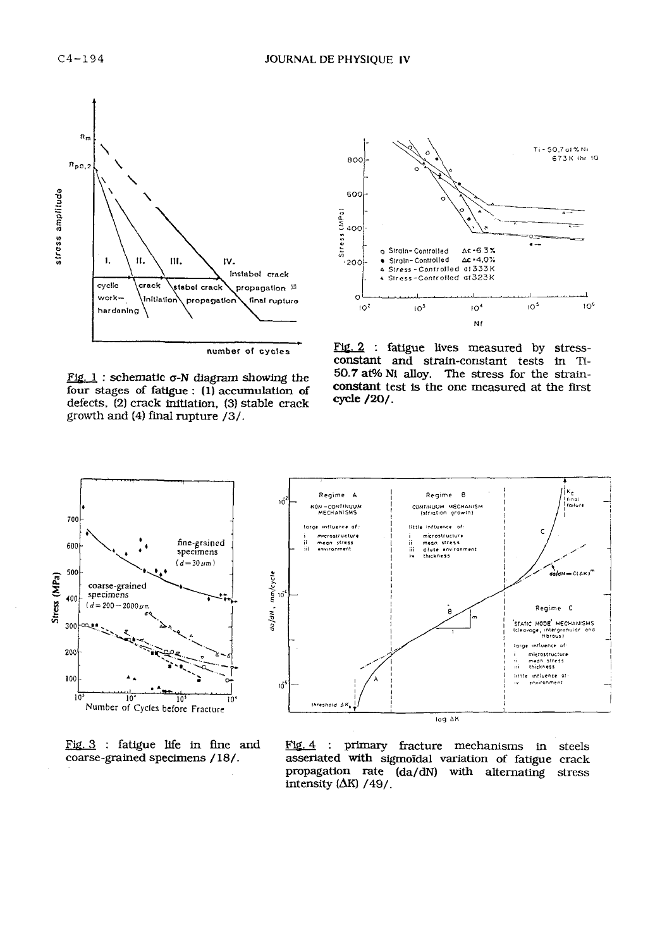



number of cycles

Fig. 1 : schematic  $\sigma$ -N diagram showing the four stages of fatigue : (1) accumulation of defects, (2) crack initiation, (3) stable crack growth and (4) final rupture /3/ .





Fig. 3 : fatigue life in fine and coarse-grained specimens /18/ .



Fig. 4 : primary fracture mechanisms in steels asserlated with sigmoidal variation of fatigue crack propagation rate (da/dN) with alternating stress intensity  $(\Delta K)$  /49/.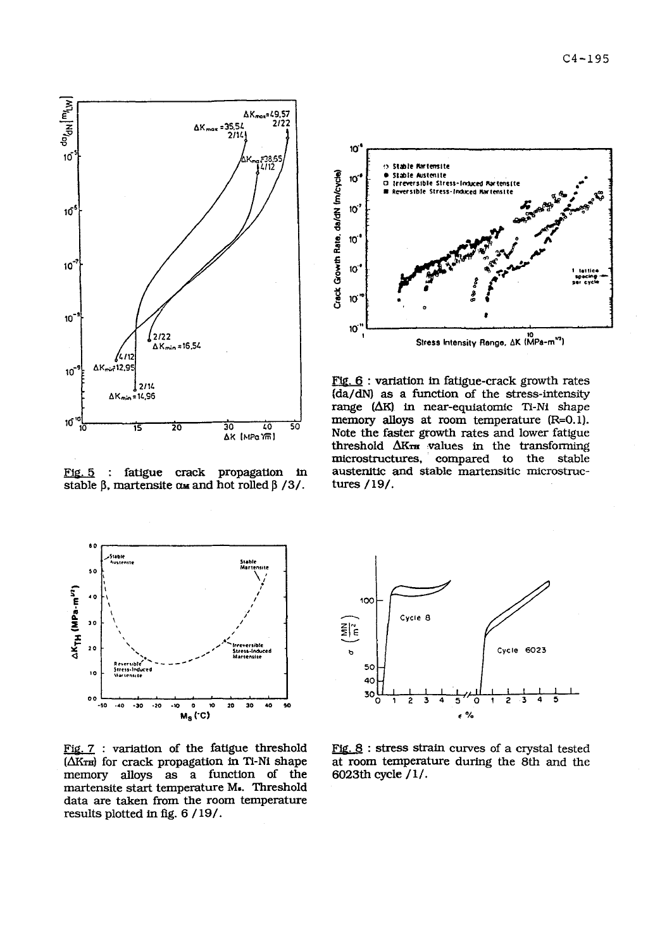

stable  $\beta$ , martensite  $\alpha$ **x** and hot rolled  $\beta$  /3/.



 $\frac{30}{40}$   $\frac{10}{40}$   $\frac{50}{40}$  Intensity allows at 100m temperature ( $\lambda = 0.1$ ). threshold  $\Delta$ KTH values in the transforming microstructures, compared to the stable Fig. 5 : fatigue crack propagation in austenitic and stable martensitic microstruc-<br>stable  $\beta$ , martensite  $\alpha_M$  and hot rolled  $\beta$  /3/. tures /19/. Fig. 6 : variation in fatigue-crack growth rates (da/dN) as a function of the stress-intensity range  $( \Delta K )$  in near-equiatomic Ti-Ni shape memory alloys at room temperature  $(R=0.1)$ .



Fig.  $7:$  variation of the fatigue threshold  $(\Delta K \text{ra})$  for crack propagation in Ti-Ni shape memory alloys as a function of the martensite start temperature M. Threshold data are taken from the room temperature results plotted in fig. 6 / 19/.



Fig. 8 : stress strain curves of a crystal tested at room temperature during the 8th and the 6023th cycle / 1/.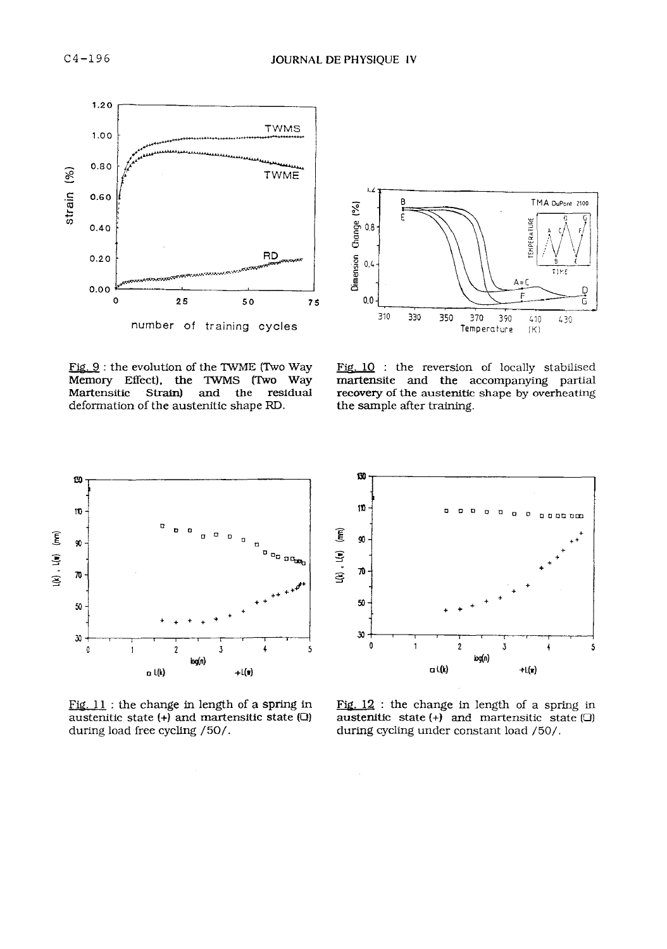



deformation of the austenitic shape RD.

Fig. 9: the evolution of the TWME (Two Way Fig. 10 : the reversion of locally stabilised Memory Effect), the TWMS (Two Way martensite and the accompanying partial Memory Effect), the TWMS (Two Way martensite and the accompanying partial Martensitic Strain) and the residual recovery of the austentic shape by overheating recovery of the austenitic shape by overheating the sample after training.



Fig. 11 : the change in length of a spring in austenitic state  $(+)$  and martensitic state  $(□)$ during load free cycling /50/.



Fig. 12 : the change in length of a spring in austenitic state  $(+)$  and martensitic state  $($  $)$ during cycling under constant load /50/.